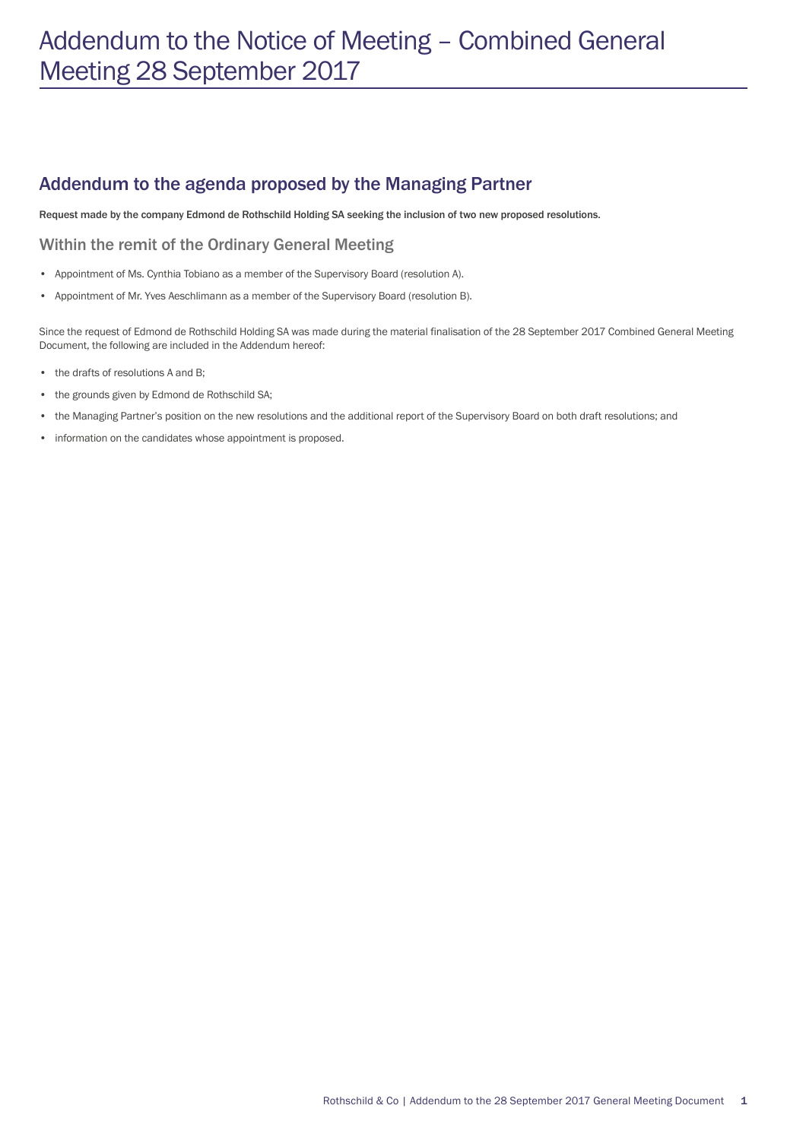# Addendum to the Notice of Meeting – Combined General Meeting 28 September 2017

## Addendum to the agenda proposed by the Managing Partner

Request made by the company Edmond de Rothschild Holding SA seeking the inclusion of two new proposed resolutions.

#### Within the remit of the Ordinary General Meeting

- Appointment of Ms. Cynthia Tobiano as a member of the Supervisory Board (resolution A).
- Appointment of Mr. Yves Aeschlimann as a member of the Supervisory Board (resolution B).

Since the request of Edmond de Rothschild Holding SA was made during the material finalisation of the 28 September 2017 Combined General Meeting Document, the following are included in the Addendum hereof:

- the drafts of resolutions A and B;
- the grounds given by Edmond de Rothschild SA;
- the Managing Partner's position on the new resolutions and the additional report of the Supervisory Board on both draft resolutions; and
- information on the candidates whose appointment is proposed.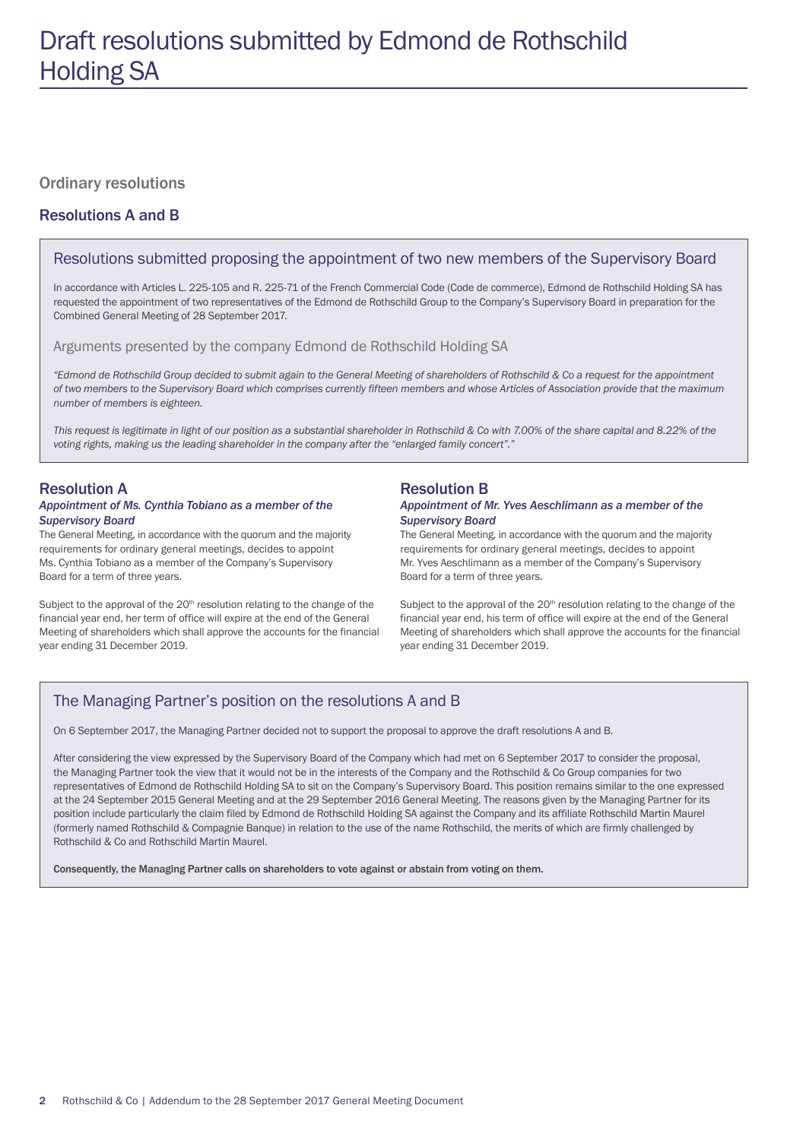#### Ordinary resolutions

#### Resolutions A and B

#### Resolutions submitted proposing the appointment of two new members of the Supervisory Board

In accordance with Articles L. 225-105 and R. 225-71 of the French Commercial Code (Code de commerce), Edmond de Rothschild Holding SA has requested the appointment of two representatives of the Edmond de Rothschild Group to the Company's Supervisory Board in preparation for the Combined General Meeting of 28 September 2017.

Arguments presented by the company Edmond de Rothschild Holding SA

*"Edmond de Rothschild Group decided to submit again to the General Meeting of shareholders of Rothschild & Co a request for the appointment of two members to the Supervisory Board which comprises currently fifteen members and whose Articles of Association provide that the maximum number of members is eighteen.* 

This request is legitimate in light of our position as a substantial shareholder in Rothschild & Co with 7.00% of the share capital and 8.22% of the *voting rights, making us the leading shareholder in the company after the "enlarged family concert"."*

#### Resolution A

#### *Appointment of Ms. Cynthia Tobiano as a member of the Supervisory Board*

The General Meeting, in accordance with the quorum and the majority requirements for ordinary general meetings, decides to appoint Ms. Cynthia Tobiano as a member of the Company's Supervisory Board for a term of three years.

Subject to the approval of the 20<sup>th</sup> resolution relating to the change of the financial year end, her term of office will expire at the end of the General Meeting of shareholders which shall approve the accounts for the financial year ending 31 December 2019.

#### Resolution B

#### *Appointment of Mr. Yves Aeschlimann as a member of the Supervisory Board*

The General Meeting, in accordance with the quorum and the majority requirements for ordinary general meetings, decides to appoint Mr. Yves Aeschlimann as a member of the Company's Supervisory Board for a term of three years.

Subject to the approval of the 20<sup>th</sup> resolution relating to the change of the financial year end, his term of office will expire at the end of the General Meeting of shareholders which shall approve the accounts for the financial year ending 31 December 2019.

#### The Managing Partner's position on the resolutions A and B

On 6 September 2017, the Managing Partner decided not to support the proposal to approve the draft resolutions A and B.

After considering the view expressed by the Supervisory Board of the Company which had met on 6 September 2017 to consider the proposal, the Managing Partner took the view that it would not be in the interests of the Company and the Rothschild & Co Group companies for two representatives of Edmond de Rothschild Holding SA to sit on the Company's Supervisory Board. This position remains similar to the one expressed at the 24 September 2015 General Meeting and at the 29 September 2016 General Meeting. The reasons given by the Managing Partner for its position include particularly the claim filed by Edmond de Rothschild Holding SA against the Company and its affiliate Rothschild Martin Maurel (formerly named Rothschild & Compagnie Banque) in relation to the use of the name Rothschild, the merits of which are firmly challenged by Rothschild & Co and Rothschild Martin Maurel.

Consequently, the Managing Partner calls on shareholders to vote against or abstain from voting on them.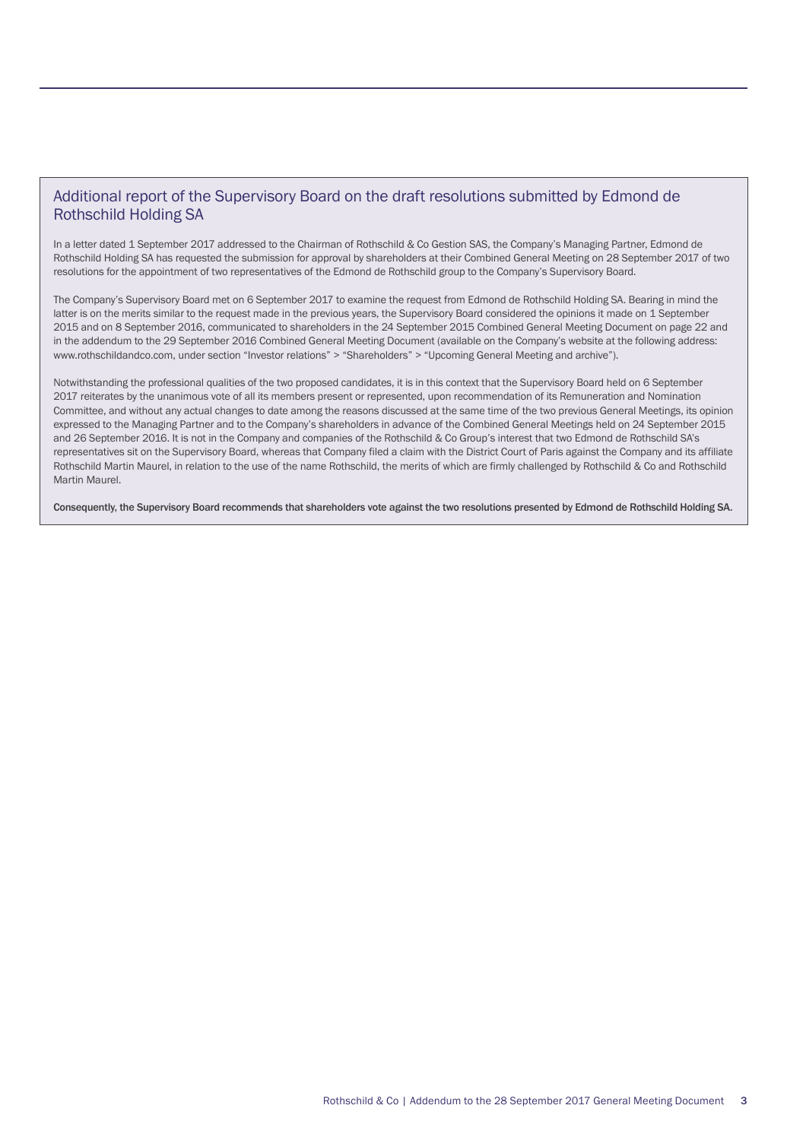#### Additional report of the Supervisory Board on the draft resolutions submitted by Edmond de Rothschild Holding SA

In a letter dated 1 September 2017 addressed to the Chairman of Rothschild & Co Gestion SAS, the Company's Managing Partner, Edmond de Rothschild Holding SA has requested the submission for approval by shareholders at their Combined General Meeting on 28 September 2017 of two resolutions for the appointment of two representatives of the Edmond de Rothschild group to the Company's Supervisory Board.

The Company's Supervisory Board met on 6 September 2017 to examine the request from Edmond de Rothschild Holding SA. Bearing in mind the latter is on the merits similar to the request made in the previous years, the Supervisory Board considered the opinions it made on 1 September 2015 and on 8 September 2016, communicated to shareholders in the 24 September 2015 Combined General Meeting Document on page 22 and in the addendum to the 29 September 2016 Combined General Meeting Document (available on the Company's website at the following address: www.rothschildandco.com, under section "Investor relations" > "Shareholders" > "Upcoming General Meeting and archive").

Notwithstanding the professional qualities of the two proposed candidates, it is in this context that the Supervisory Board held on 6 September 2017 reiterates by the unanimous vote of all its members present or represented, upon recommendation of its Remuneration and Nomination Committee, and without any actual changes to date among the reasons discussed at the same time of the two previous General Meetings, its opinion expressed to the Managing Partner and to the Company's shareholders in advance of the Combined General Meetings held on 24 September 2015 and 26 September 2016. It is not in the Company and companies of the Rothschild & Co Group's interest that two Edmond de Rothschild SA's representatives sit on the Supervisory Board, whereas that Company filed a claim with the District Court of Paris against the Company and its affiliate Rothschild Martin Maurel, in relation to the use of the name Rothschild, the merits of which are firmly challenged by Rothschild & Co and Rothschild Martin Maurel.

Consequently, the Supervisory Board recommends that shareholders vote against the two resolutions presented by Edmond de Rothschild Holding SA.